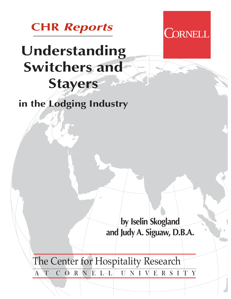

# **Understanding Switchers and Stayers**

**in the Lodging Industry**

**by Iselin Skogland and Judy A. Siguaw, D.B.A.**

**CORNELL** 

The Center for Hospitality Research

A T CORNELL UNIVERSITY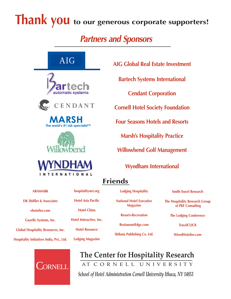# **Thank you** to our generous corporate supporters!

# **Partners and Sponsors**



AIG









**AIG Global Real Estate Investment**

**Bartech Systems International**

**Cendant Corporation**

**Cornell Hotel Society Foundation**

**Four Seasons Hotels and Resorts**

**Marsh's Hospitality Practice**

**Willowbend Golf Management**

**Wyndham International**

# **Friends**

**ARAMARK DK Shifflet & Associates ehotelier.com Gazelle Systems, Inc. Global Hospitality Resources, Inc. Hospitality Initiatives India, Pvt., Ltd.**



# **hospitalitynet.org Hotel Asia Pacific Hotel China Hotel Interactive, Inc. Hotel Resource**

**Lodging Magazine**

**National Hotel Executive Magazine**

**Lodging Hospitality**

**Resort+Recreation**

**RestaurantEdge.com**

**Shibata Publishing Co. Ltd.**

**Smith Travel Research The Hospitality Research Group of PKF Consulting**

**The Lodging Conference**

**TravelCLICK**

**WiredHotelier.com**

**The Center for Hospitality Research** AT CORNELL UNIVERSITY

*School of Hotel Administration Cornell University Ithaca, NY 14853*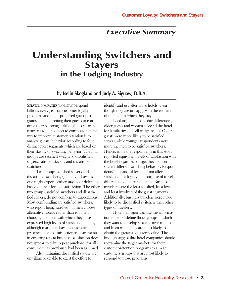## **Executive Summary**

## **Understanding Switchers and Stayers in the Lodging Industry**

**by Iselin Skogland and Judy A. Siguaw, D.B.A.**

SERVICE COMPANIES WORLDWIDE spend billions every year on customer-loyalty programs and other preferred-guest programs aimed at getting their guests to continue their patronage, although it's clear that many customers defect to competitors. One way to improve customer retention is to analyze guests' behavior according to four distinct guest segments, which are based on their staying or switching behavior. The four groups are satisfied switchers, dissatisfied stayers, satisfied stayers, and dissatisfied switchers.

Two groups, satisfied stayers and dissatisfied switchers, generally behave as one might expect—either staying or defecting based on their level of satisfaction. The other two groups, satisfied switchers and dissatisfied stayers, do not conform to expectations. Most confounding are satisfied switchers, who report being satisfied but then choose alternative hotels, rather than routinely choosing the hotel with which they have expressed high levels of satisfaction. Thus, although marketers have long advanced the presence of guest satisfaction as instrumental in ensuring repeat business, satisfaction does not appear to drive repeat purchases for all consumers, as previously had been assumed.

Also intriguing, dissatisfied stayers are unwilling or unable to exert the effort to

identify and use alternative hotels, even though they are unhappy with the elements of the hotel at which they stay.

Looking at demographic differences, older guests and women selected the hotel for familiarity and self-image needs. Older guests were more likely to be satisfied stayers, while younger respondents were more inclined to be satisfied switchers. Hence, while the respondents in this study reported equivalent levels of satisfaction with the hotel regardless of age, they demonstrated different switching behavior. Respondents' educational level did not affect satisfaction or loyalty, but purpose of travel differentiated the respondents. Business travelers were the least satisfied, least loyal, and least involved of the guest segments. Additionally, business travelers were more likely to be dissatisfied switchers than other types of travelers.

Hotel managers can use this information to better define those groups in which they want to develop strategic investments and from which they are most likely to obtain the greatest long-term value. The findings suggest that hotel companies should reexamine the target markets for their customer-retention programs to aim at customers groups that are most likely to respond to those programs.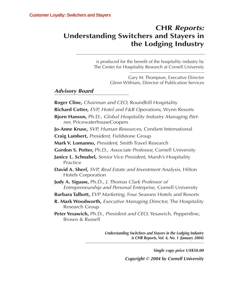## **CHR Reports: Understanding Switchers and Stayers in the Lodging Industry**

is produced for the benefit of the hospitality industry by The Center for Hospitality Research at Cornell University

> Gary M. Thompson, Executive Director Glenn Withiam, Director of Publication Services

## **Advisory Board**

**Roger Cline,** Chairman and CEO, Roundhill Hospitality **Richard Cotter,** EVP, Hotel and F&B Operations, Wynn Resorts **Bjorn Hanson,** Ph.D., Global Hospitality Industry Managing Partner, PricewaterhouseCoopers **Jo-Anne Kruse,** SVP, Human Resources, Cendant International **Craig Lambert,** President, Fieldstone Group **Mark V. Lomanno,** President, Smith Travel Research **Gordon S. Potter,** Ph.D., Associate Professor, Cornell University **Janice L. Schnabel,** Senior Vice President, Marsh's Hospitality Practice **David A. Sherf,** SVP, Real Estate and Investment Analysis, Hilton Hotels Corporation **Judy A. Siguaw,** Ph.D., J. Thomas Clark Professor of Entrepreneurship and Personal Enterprise, Cornell University **Barbara Talbott,** EVP Marketing, Four Seasons Hotels and Resorts **R. Mark Woodworth,** Executive Managing Director, The Hospitality Research Group **Peter Yesawich,** Ph.D., President and CEO, Yesawich, Pepperdine, Brown & Russell

> **Understanding Switchers and Stayers in the Lodging Industry is CHR Reports, Vol. 4, No. 1 (January 2004)**

> > **Single copy price US\$50.00 Copyright © 2004 by Cornell University**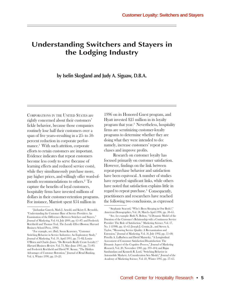## **Understanding Switchers and Stayers in the Lodging Industry**

**by Iselin Skogland and Judy A. Siguaw, D.B.A.**

CORPORATIONS IN THE UNITED STATES are rightly concerned about their customers' fickle behavior, because those companies routinely lose half their customers over a span of five years—resulting in a 25- to 50 percent reduction in corporate performance.<sup>1</sup> With such attrition, corporate efforts to retain customers are important. Evidence indicates that repeat customers become less costly to serve (because of learning effects and reduced service costs), while they simultaneously purchase more, pay higher prices, and willingly offer word-ofmouth recommendations to others.2 To capture the benefits of loyal customers, hospitality firms have invested millions of dollars in their customer-retention programs. For instance, Marriott spent \$54 million in

1996 on its Honored Guest program, and Hyatt invested \$25 million in its loyalty program that year.3 Nevertheless, hospitality firms are scrutinizing customer-loyalty programs to determine whether they are doing what they were intended to do: namely, increase customers' repeat purchases and improve profits.

Research on customer loyalty has focused primarily on customer satisfaction. However, findings on the link between repeat-purchase behavior and satisfaction have been equivocal. A number of studies have reported significant links, while others have noted that satisfaction explains little in regard to repeat purchase.4 Consequently, practitioners and researchers have reached the following two conclusions, as expressed

<sup>1</sup> Jaishankar Ganesh, Mark J. Arnold, and Kristy E. Reynolds, "Understanding the Customer Base of Service Providers: An Examination of the Differences Between Switchers and Stayers," Journal of Marketing, Vol. 64, July 2000, pp. 65–87; and Frederick Reichheld and Thomas Teal, The Loyalty Effect (Boston: Harvard Business School Press, 1996).

<sup>2</sup> For example, see: Ibid.; Susan Keaveney, "Customer Switching Behavior in Service Industries: An Exploratory Study," Journal of Marketing, Vol. 59, April 1995, pp. 71–82; Louise O'Brien and Charles Jones, "Do Rewards Really Create Loyalty?," Harvard Business Review, Vol. 73, May–June 1995, pp. 75–83; and Frederick Reichheld and David W. Kenny, "The Hidden Advantages of Customer Retention," Journal of Retail Banking, Vol. 4, Winter 1990, pp. 19–23.

<sup>3</sup> Stephanie Seacord, "Who's Been Sleeping in Our Beds?," American Demographics, Vol. 58, March–April 1996, pp. 58–65.

<sup>4</sup> See, for example: Ruth N. Bolton, "A Dynamic Model of the Duration of the Customer's Relationship with a Continuous Service Provider: The Role of Satisfaction," Marketing Science, Vol. 17, No. 1 (1998), pp. 45–65; Joseph J. Cronin, Jr., and Steven A. Taylor, "Measuring Service Quality: A Reexamination and Extension," Journal of Marketing, Vol. 56, July 1992, pp. 55–68; Priscilla A. LaBarbera and David Mazursky, "A Longitudinal Assessment of Consumer Satisfaction/Dissatisfaction: The Dynamic Aspect of the Cognitive Process," Journal of Marketing Research, Vol. 20, November 1983, pp. 393–404; and Rajan Sambandam and Kenneth R. Lord, "Switching Behavior in Automobile Markets: A Consideration Sets Model," Journal of the Academy of Marketing Science, Vol. 23, Winter 1995, pp. 57–65.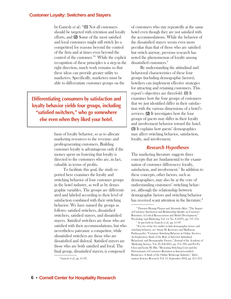by Ganesh *et al.*: "(1) Not all customers should be targeted with retention and loyalty efforts, and (2) Some of the most satisfied (2) and loyal customers might still switch [to a competitor] for reasons beyond the control of the firm and at times even beyond the control of the customer."5 While the explicit recognition of these principles is a step in the right direction, much work remains so that these ideas can provide greater utility to marketers. Specifically, marketers must be able to differentiate customer groups on the

**Differentiating consumers by satisfaction and loyalty behavior yields four groups, including "satisfied switchers," who go somewhere else even when they liked your hotel.**

> basis of loyalty behavior, so as to allocate marketing resources to the revenue- and profit-generating customers. Building customer loyalty is advantageous only if the money spent on fostering that loyalty is directed to the customers who are, in fact, valuable in terms of profits.

To facilitate this goal, the study reported here examines the loyalty and switching behavior of four customer groups in the hotel industry, as well as by demographic variables. The groups are differentiated and labeled according to their level of satisfaction combined with their switching behavior. We have named the groups as follows: satisfied switchers, dissatisfied switchers, satisfied stayers, and dissatisfied stayers. Satisfied switchers are those who are satisfied with their accommodations, but who nevertheless patronize a competitor, while dissatisfied switchers are those who are dissatisfied and disloyal. Satisfied stayers are those who are both satisfied and loyal. The final group, dissatisfied stayers, is composed

of customers who stay repeatedly at the same hotel even though they are not satisfied with the accommodations. While the behavior of the dissatisfied stayers seems even more peculiar than that of those who are satisfied but switch anyway, previous research has noted the phenomenon of loyalty among dissatisfied customers.<sup>6</sup>

By understanding the attitudinal and behavioral characteristics of these four groups (including demographic factors), hoteliers can implement effective strategies for attracting and retaining customers. This report's objectives are threefold. (1) It examines how the four groups of customers that we just identified differ in their satisfaction with the various dimensions of a hotel's services. **(2)** It investigates how the four groups of guests may differ in their loyalty and involvement behavior toward the hotel. (3) It explains how guests' demographics (3) may affect switching behavior, satisfaction, loyalty, and involvement.

## **Research Hypotheses**

The marketing literature suggests three concepts that are fundamental to the examination of customer differences: loyalty, satisfaction, and involvement.<sup>7</sup> In addition to these concepts, other factors, such as demographics, may also be at the core of understanding customers' switching behavior, although the relationship between demographic factors and switching behavior has received scant attention in the literature.<sup>8</sup>

Ganesh et al., pp. 65–87.

<sup>6</sup> Thorsten Hennig-Thurau and Alexander Klee, "The Impact of Customer Satisfaction and Relationship Quality on Customer Retention: A Critical Reassessment and Model Development," Psychology and Marketing, Vol. 14, No. 8 (1997), pp. 737–764.

<sup>&</sup>lt;sup>7</sup> As put forth in: Ganesh *et al.*, pp. 65-87.

<sup>8</sup> For two of the few studies to link demographic factors and switching behavior, see: Susan M. Keaveney and Madhavan Parthasarathy, "Customer Switching Behavior in Online Services: An Exploratory Study of the Role of Selected Attitudinal, Behavioral, and Demographic Factors," Journal of the Academy of Marketing Science, Vol. 29, Fall 2001, pp. 374–390; and Pei-Yu Chen and Lorin M. Hitt, "Measuring Switching Costs and the Determinants of Customers Retention in Internet-enabled Businesses: A Study of the Online Brokerage Industry," Information Systems Research, Vol. 13, September 2002, pp. 255–274. <sup>5</sup>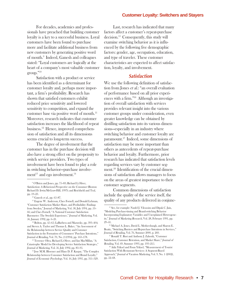For decades, academics and professionals have preached that building customer loyalty is a key to a successful business. Loyal customers have been found to purchase more and facilitate additional business from new customers by generating positive word of mouth.9 Indeed, Ganesh and colleagues stated: "Loyal customers are logically at the heart of a company's most valuable customer group."10

Satisfaction with a product or service has been identified as a determinant for customer loyalty and, perhaps more important, a firm's profitability. Research has shown that satisfied customers exhibit reduced price sensitivity and lowered sensitivity to competition, and expand the customer base via positive word of mouth.11 Moreover, research indicates that customer satisfaction increases the likelihood of repeat business.12 Hence, improved comprehension of satisfaction and all its dimensions seems crucial to long-term success.

The degree of involvement that the customer has in the purchase decision will also have a strong effect on the propensity to switch service providers. Two types of involvement have been found to play a role in switching behavior—purchase involvement $^{13}$  and ego involvement.<sup>14</sup>

Last, research has indicated that many factors affect a customer's repeat-purchase decision.15 Consequently, this study will examine switching behavior as it is influenced by the following five demographic factors: gender, age, occupation, education, and type of traveler. These customer characteristics are expected to affect satisfaction, loyalty, and involvement.

## **Satisfaction**

We use the following definition of satisfaction from Jones et al.: "an overall evaluation of performance based on all prior experiences with a firm."16 Although an investigation of overall satisfaction with services provides relevant insight into the various customer groups under consideration, even greater knowledge can be obtained by distilling satisfaction into its various dimensions—especially in an industry where switching behavior and customer loyalty are paramount.17 Indeed, some dimensions of satisfaction may be more important than others as antecedents of repeat-purchase behavior and loyalty. Furthermore, prior research has indicated that satisfaction levels regarding services vary by customer segment.18 Identification of the crucial dimensions of satisfaction allows managers to focus on the areas of greatest importance to their customer segments.

Common dimensions of satisfaction include the quality of the service itself, the quality of any products delivered in conjunc-

<sup>9</sup> O'Brien and Jones, pp. 75–83; Richard L.Oliver, Satisfaction: A Behavioral Perspective on the Consumer (Boston: Richard D. Irwin/McGraw-Hill, 1997); and Reichheld and Teal, pp. 19–23.

<sup>&</sup>lt;sup>10</sup> Ganesh et al., pp. 65-87.

<sup>&</sup>lt;sup>11</sup> Eugene W. Anderson, Claes Fornell, and Donald Lehman, "Customer Satisfaction Market Share, and Profitability: Findings from Sweden," Journal of Marketing, Vol. 58, July 1994, pp. 53– 66; and Claes Fornell, "A National Customer Satisfaction Barometer: The Swedish Experience," Journal of Marketing, Vol. 56, January 1992, pp. 6–21.

<sup>12</sup> Bolton, pp. 45–65; LaBarbera and Mazursky, pp. 393–404; and Steven A. Taylor and Thomas L. Baker, "An Assessment of the Relationship between Service Quality and Customer Satisfaction in the Formation of Consumers' Purchase Intentions," Journal of Retailing, Vol. 70, No. 2 (1994), pp. 163–178.

<sup>13</sup> Terrence Oliva, Richard L.Oliver, and Ian MacMillan, "A Catastrophe Model for Developing Service Satisfaction Strategies," Journal of Marketing, Vol. 56, July 1992, pp. 83–95.

<sup>14</sup> Jose M.M. Bloemer and Hans D. P. Kaspar, "The Complex Relationship between Consumer Satisfaction and Brand Loyalty," Journal of Economic Psychology, Vol. 16, July 1995, pp. 311–329.

<sup>&</sup>lt;sup>15</sup> See, for example: Naufel J. Vilcassim and Dipak C. Jain, "Modeling Purchase-timing and Brand-switching Behavior Incorporating Explanatory Variables and Unexplained Heterogeneity," Journal of Marketing Research, Vol. 28, February 1991, pp. 29–41.

<sup>16</sup> Michael A. Jones, David L. Mothersbaugh, and Sharon E. Beatty, "Switching Barriers and Repurchase Intentions in Services," Journal of Retailing, Vol. 76, Summer 2000, p. 260.

<sup>17</sup> Ronald T. Rust and Anthony J. Zahorik, "Customer Satisfaction, Customer Retention, and Market Share," Journal of Retailing, Vol. 69, Summer 1993, pp. 193–215.

<sup>18</sup> Atila Yüksel and Fisun Yüksel, "Measurement of Tourist Satisfaction With Restaurant Services: A Segment-Based Approach," Journal of Vacation Marketing, Vol. 9, No. 1 (2002), pp. 52–68.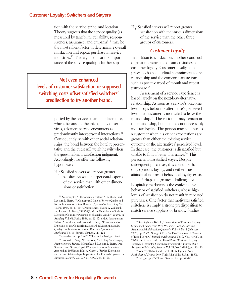tion with the service, price, and location. Theory suggests that the service quality (as measured by tangibility, reliability, responsiveness, assurance, and empathy $19 \text{ may be}$ the most salient factor in determining overall satisfaction and repeat purchase in service industries.20 The argument for the importance of the service quality is further sup-

**Not even enhanced levels of customer satisfaction or supposed switching costs offset satisfied switchers' predilection to try another brand.**

> ported by the services-marketing literature, which, because of the intangibility of services, advances service encounters as predominantly interpersonal interactions.21 Consequently, as with other social relationships, the bond between the hotel representative and the guest will weigh heavily when the guest makes a satisfaction judgment. Accordingly, we offer the following hypotheses:

 $\mathrm{H}_{\mathrm{i}}$ : Satisfied stayers will report greater satisfaction with interpersonal aspects of the service than with other dimensions of satisfaction.

 $\mathrm{H}_2$ : Satisfied stayers will report greater satisfaction with the various dimensions of the service than the other three groups of customers.

## **Customer Loyalty**

In addition to satisfaction, another construct of great relevance to consumer studies is customer loyalty. Customer loyalty comprises both an attitudinal commitment to the relationship and the comcomitant actions, such as positive word of mouth and repeat patronage.<sup>22</sup>

Assessment of a service experience is based largely on the next-best-alternative relationship. As soon as a service's outcome level drops below the alternative's perceived level, the customer is motivated to leave the relationship.23 The customer may remain in the relationship, but that does not necessarily indicate loyalty. The person may continue as a customer when his or her expectations are greater than either the existing service outcome or the alternatives' perceived level. In that case, the customer is dissatisfied but unable to find a better alternative.<sup>24</sup> This person is a dissatisfied stayer. Despite subsequent purchases, this consumer has only spurious loyalty, and neither true attitudinal nor overt behavioral loyalty exists.

Perhaps the greatest challenge for hospitality marketers is the confounding behavior of satisfied switchers, whose high levels of satisfaction do not result in repeated purchases. One factor that motivates satisfied switchers is simply a strong predisposition to switch service suppliers or brands. Studies

<sup>19</sup> According to: A. Parasuraman, Valarie A. Zeithaml, and Leonard L. Berry, "A Conceptual Model of Service Quality and Its Implications for Future Research," Journal of Marketing, Vol. 49, Fall 1985, pp. 41–50; A Parasuraman, Valarie A. Zeithaml, and Leonard L. Berry, "SERVQUAL: A Multiple-Item Scale for Measuring Consumer Perceptions of Service Quality," Journal of Retailing, Vol. 64, Spring 1988, pp. 12–37; and A. Parasuraman, Valarie A. Zeithaml, and Leonard L. Berry, "Reassessment of Expectations as a Comparison Standard in Measuring Service Quality: Implications for Further Research," Journal of Marketing, Vol. 58, January 1994, pp. 111–124.

 $20$  Ganesh et al., pp. 65-87; Yüksel and Yüksel, pp. 52-68. 21 Leonard L. Berry, "Relationship Marketing," in Emerging Perspectives on Services Marketing, ed. Leonard L. Berry, Lynn Shostack, and Gregory Upah (Chicago: American Marketing Association, 1983); and John A. Czepiel, "Service Encounters and Service Relationships: Implications for Research," Journal of Business Research, Vol. 2, No. 1 (1990), pp. 13–21.

<sup>22</sup> See: Seyhmus Baloglu, "Dimensions of Customer Loyalty: Separating Friends from Well Wishers," Cornell Hotel and Restaurant Administration Quarterly, Vol. 43, No. 1 (February 2002), pp. 47–59; George S. Day, "A Two-Dimensional Concept of Brand Loyalty," Journal of Advertising, Vol. 9, No. 3 (1969), pp. 29–35; and Alan S. Dick and Kunal Basu, "Customer Loyalty: Toward an Integrated Conceptual Framework," Journal of the Academy of Marketing Science, Vol. 22, No. 2 (1994), pp. 99–113.

<sup>23</sup> John W. Thibaut and Harold H. Kelley, The Social Psychology of Groups (New York: John Wiley & Sons, 1959).

 $24$  Baloglu, pp. 47–59; and Ganesh et al., pp. 65–87.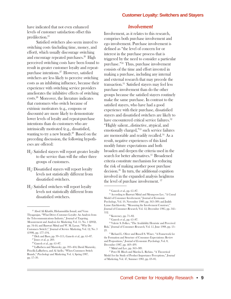have indicated that not even enhanced levels of customer satisfaction offset this predilection.25

Satisfied switchers also seem inured to switching costs (including time, money, and effort), which usually discourage switching and encourage repeated purchases.<sup>26</sup> High perceived switching costs have been found to result in greater customer loyalty and repeatpurchase intentions.27 However, satisfied switchers are less likely to perceive switching costs as an inhibiting influence, because their experience with switching service providers ameliorates the inhibitive effects of switching costs.28 Moreover, the literature indicates that customers who switch because of extrinsic motivators (e.g., coupons or discounts) are more likely to demonstrate lower levels of loyalty and repeat-purchase intentions than do customers who are intrinsically motivated (e.g., dissatisfied, wanting to try a new brand).<sup>29</sup> Based on the preceding discussion, the following hypotheses are offered:

- $\mathrm{H}_{_{3}\!\!}$ : Satisfied stayers will report greater loyalty to the service than will the other three groups of customers.
- $H_i$ : Dissatisfied stayers will report loyalty levels not statistically different from dissatisfied switchers.
- $H<sub>5</sub>$ : Satisfied switchers will report loyalty levels not statistically different from dissatisfied switchers.

## **Involvement**

Involvement, as it relates to this research, comprises both purchase involvement and ego involvement. Purchase involvement is defined as "the level of concern for or interest in the purchase process that is triggered by the need to consider a particular purchase."30 Thus, purchase involvement consists of the time and effort invested in making a purchase, including any internal and external research that may precede the transaction.31 Satisfied stayers may feel less purchase involvement than do the other groups because the satisfied stayers routinely make the same purchase. In contrast to the satisfied stayers, who have had a good experience with their purchase, dissatisfied stayers and dissatisfied switchers are likely to have encountered critical service failures.<sup>32</sup> "Highly salient…distinctive, atypical, and emotionally charged,"33 such service failures are memorable and readily recalled.34 As a result, negative experiences of this kind modify future expectations and both broaden and deepen the criteria used in the search for better alternatives.<sup>35</sup> Broadened criteria constitute mechanism for reducing the risk of making another poor purchase decision.36 In turn, the additional cognition involved in the expanded analysis heightens the level of purchase involvement. 37

 $^\mathrm{35}$  Richard L. Oliver and Russell S. Winer, "A Framework for the Formation and Structure of Consumer Expectations: Review and Propositions," Journal of Economic Psychology, Vol. 8, December 1987, pp. 469–499.

<sup>25</sup> Abod Ali Khatibi, Hishamuddin Ismail, and Venu Thyagarajan, "What Drives Customer Loyalty: An Analysis from the Telecommunications Industry," Journal of Targeting, Measurement and Analysis for Marketing, Vol. 11, No. 1 (2002), pp. 34-44; and Banwari Mittal and W. M. Lassar, "Why Do Customers Switch?," Journal of Service Marketing, Vol. 12, No. 3 (1998), pp. 177–194.

 $26$  Dick and Basu, pp. 99-113.; Ganesh et al., pp. 65-87.

 $27$  Jones et al., p. 260.

<sup>28</sup> Ganesh et al., pp. 65–87.

<sup>29</sup> LaBarbera and Mazursky, pp. 393–404; David Mazursky, Priscilla LaBarbera, and Al Aiello, "When Customers Switch Brands," Psychology and Marketing, Vol. 4, Spring 1987, pp. 17–30.

<sup>&</sup>lt;sup>30</sup> Ganesh et al., pp. 65-87.

<sup>&</sup>lt;sup>31</sup> According to Banwari Mittal and Myung-soo Lee, "A Causal Model of Consumer Involvement," Journal of Economic Psychology, Vol. 10, November 1989, pp. 363–389; and Judith Lynne Zaichkowsky, "Measuring the Involvement Construct," Journal of Consumer Research, Vol. 12, December 1985, pp. 341– 352.

<sup>32</sup> Keaveney, pp. 71–82.

<sup>33</sup> Ganesh et al., pp. 65–87.

<sup>34</sup> Valerie S. Folkes, "The Availability Heuristic and Perceived Risk," Journal of Consumer Research, Vol. 15, June 1988, pp. 13– 23.

<sup>36</sup> Mittal and Lee, pp. 363–389.

<sup>37</sup> Peter H. Bloch and Marsha L. Richins, "A Theoretical Model for the Study of Product Importance Perceptions," Journal of Marketing, Vol. 47, Summer 1983, pp. 69–81.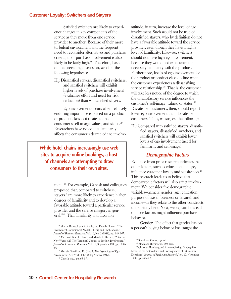Satisfied switchers are likely to experience changes in key components of the service as they move from one service provider to another. Because of their more turbulent environment and the frequent need to reconsider alternatives and purchase criteria, their purchase involvement is also likely to be fairly high.38 Therefore, based on the preceding discussion, we offer the following hypothesis:

 $H_{6}$ : Dissatisfied stayers, dissatisfied switchers, and satisfied switchers will exhibit higher levels of purchase involvement (evaluative effort and need for risk reduction) than will satisfied stayers.

Ego involvement occurs when relatively enduring importance is placed on a product or product class as it relates to the consumer's self-image, values, and status.39 Researchers have noted that familiarity affects the consumer's degree of ego involve-

**While hotel chains increasingly use web sites to acquire online bookings, a host of channels are attempting to draw consumers to their own sites.**

> ment.40 For example, Ganesh and colleagues proposed that, compared to switchers, stayers "are more likely to experience higher degrees of familiarity and to develop a favorable attitude toward a particular service provider and the service category in general."41 That familiarity and favorable

attitude, in turn, increase the level of ego involvement. Such would not be true of dissatisfied stayers, who by definition do not have a favorable attitude toward the service provider, even though they have a high a level of familiarity. Likewise, switchers should not have high ego involvement, because they would not experience the necessary familiarity with the product. Furthermore, levels of ego involvement for the product or product class decline when the customer experiences a dissatisfying service relationship.42 That is, the customer will take less notice of the degree to which the unsatisfactory service influences the customer's self-image, values, or status.43 Dissatisfied customers, then, should report lower ego involvement than do satisfied customers. Thus, we suggest the following:

 ${\rm H}_i$ : Compared with satisfied stayers, dissatisfied stayers, dissatisfied switchers, and satisfied switchers will exhibit lower levels of ego involvement (need for familiarity and self-image).

## **Demographic Factors**

Evidence from prior research indicates that other factors, such as education and age, influence customer loyalty and satisfaction.44 This research leads us to believe that demographic factors will also affect involvement. We consider five demographic variables—namely, gender, age, education, purpose of travel (business or leisure), and income—as they relate to the other constructs under study here. Next, we explain how each of those factors might influence purchase behavior.

Gender. The effect that gender has on <sup>38</sup> Sharon Beatty, Lynn R. Kahle, and Pamela Homer, "The 30 person's buying behavior has caught the

Involvement-Commitment Model: Theory and Implications," Journal of Business Research, Vol. 16, No. 2 (1988), pp. 149–167.

<sup>&</sup>lt;sup>39</sup> Ibid.; and Peter H. Bloch and Marsha L. Richins, "After the New Wears Off: The Temporal Context of Product Involvement," Journal of Consumer Research, Vol. 13, September 1986, pp. 280– 285.

<sup>40</sup> Musafer Sherif and H. Cantril, The Psychology of Ego-Involvement (New York: John Wiley & Sons, 1947).

<sup>41</sup> Ganesh et al., pp. 65–87.

<sup>42</sup> Sherif and Cantril, op. cit.

<sup>43</sup> Bloch and Richins, pp. 280–285.

<sup>44</sup> Christian Homburg and Annete Giering, "A Cognitive Model of the Antecedents and Consequences of Satisfaction Decisions," Journal of Marketing Research, Vol. 17, November 1980, pp. 460–469.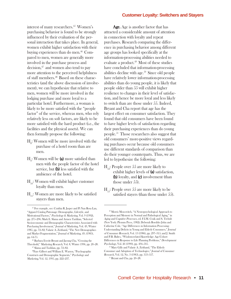interest of many researchers.45 Women's purchasing behavior is found to be strongly influenced by their evaluation of the personal interaction that takes place. In general, women exhibit higher satisfaction with their buying experiences than do men.<sup>46</sup> Compared to men, women are generally more involved in the purchase process and  $decision<sub>+</sub><sup>47</sup>$  and women also tend to pay more attention to the perceived helpfulness of staff members.48 Based on these characteristics (and the above discussion of involvement), we can hypothesize that relative to men, women will be more involved in the lodging purchase and more loyal to a particular hotel. Furthermore, a woman is likely to be more satisfied with the "people factor" of the service, whereas men, who rely relatively less on soft factors, are likely to be more satisfied with the hard product (i.e., the facilities and the physical assets). We can then formally propose the following:

- $\mathrm{H}_{\mathrm{s}}$ : Women will be more involved with the purchase of a hotel room than are men.
- $\mathrm{H}_9$ : Women will be **(a)** more satisfied than men with the people factor of the hotel service, but  $(b)$  less satisfied with the ambience of the hotel.
- $H_{10}$ : Women will exhibit higher customer loyalty than men.
- $H_{11}$ : Women are more likely to be satisfied stayers than men.

Age. Age is another factor that has attracted a considerable amount of attention in connection with loyalty and repeat purchases. Research comparing the difference in purchasing behavior among different age groups has looked specifically at the information-processing abilities needed to evaluate a product.49 Most of these studies have concluded that information-processing abilities decline with age. $50$  Since old people have relatively lower information-processing abilities than do young people, it is likely that people older than 55 will exhibit higher resilience to changes in their level of satisfaction, and hence be more loyal and less likely to switch than are those under 55. Indeed, Bryant and Cha report that age has the largest effect on consumer satisfaction. They found that old consumers have been found to have higher levels of satisfaction regarding their purchasing experiences than do young people.51 Those researchers also suggest that old consumers' more-positive views regarding purchases occur because old consumers use different standards of comparison than do their younger counterparts. Thus, we are led to hypothesize the following:

- $H_{19}$ : People over 55 are more likely to exhibit higher levels of  $(a)$  satisfaction, (b) loyalty, and (c) involvement (than those under 55).
- $H_{1,3}$ : People over 55 are more likely to be satisfied stayers (than those under 55).

<sup>45</sup> For example, see: Cynthia R. Jasper and Pi Nan Rosa Lan, "Apparel Catalog Patronage: Demographic, Lifestyle, and Motivational Factors," Psychology & Marketing, Vol. 9 (1992), pp. 275–296; Mark E. Slama and Armen Tashlian, "Selected Socioeconomic and Demographic Characteristics Associated with Purchasing Involvement," Journal of Marketing, Vol. 49, Winter 1985, pp. 72–82; Valarie A. Zeithaml, "The New Demographics and Market Fragmentation," Journal of Marketing, 49, (1985), pp. 64-75.

<sup>46</sup> Barbara Everitt Bryant and Jaeung Cha, "Crossing the Threshold," Marketing Research, Vol. 8, Winter 1996, pp. 20–28. 47 Slama and Tashlian, pp. 72–82.

<sup>48</sup>Faye Gilbert and William E. Warren, "Psychographic Constructs and Demographic Segments," Psychology and Marketing, Vol. 12, 1995, pp. 222–237.

<sup>49</sup> Morris Moscovitch, "A Neuropsychological Approach to Perception and Memory in Normal and Pathological Aging," in Aging and Cognitive Processes, ed. F.I.M. Craik and S. Trehub (New York: Plenum Press, 1982); Deborah Roedder John and Catherine Cole, "Age Differences in Information Processing: Understanding Deficits in Young and Elderly Consumers," Journal of Consumer Research, Vol. 13 (1986), pp. 297–315; and J. Smith and P.B. Baltes, "Wisdom-related Knowledge: Age/Cohort Differences in Response to Life Planning Problems," Development Psychology, Vol. 26 (1990), pp. 494–505.

<sup>50</sup> Mary Gilly and Valarie A. Zeithaml, "The Elderly Consumer and Adoption of Technologies," Journal of Consumer

Research, Vol. 12, No. 3 (1985), pp. 353–357. 51 Bryant and Cha, pp. 20–28.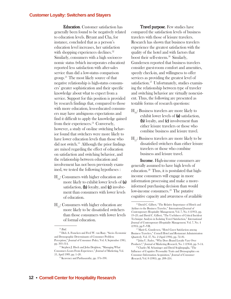Education. Customer satisfaction has generally been found to be negatively related to education levels. Bryant and Cha, for instance, concluded that as a person's education level increases, her satisfaction with shopping experiences declines.<sup>52</sup> Similarly, consumers with a high socioeconomic status (which incorporates education) reported less satisfaction with after-sales service than did a low-status comparison group.53 The most likely source of that negative relationship is high-status consumers' greater sophistication and their specific knowledge about what to expect from a service. Support for this position is provided by research findings that, compared to those with more education, less-educated consumers may have ambiguous expectations and find it difficult to apply the knowledge gained from their experiences.<sup>54</sup> Conversely, however, a study of on-line switching behavior found that switchers were more likely to have lower education levels than those who did not switch. $55$  Although the prior findings are mixed regarding the effect of education on satisfaction and switching behavior, and the relationship between education and involvement has not been previously examined, we tested the following hypotheses :

- $H_{14}$ : Consumers with higher education are more likely to exhibit lower levels of (a) satisfaction,  $(b)$  loyalty, and  $(c)$  involvement than consumers with lower levels of education.
- $H_{15}$ : Consumers with higher education are more likely to be dissatisfied switchers than those consumers with lower levels of formal education.

Travel purpose. Few studies have compared the satisfaction levels of business travelers with those of leisure travelers. Research has shown that business travelers experience the greatest satisfaction with the quality of the hotel and with factors that boost their self-esteem.<sup>56</sup> Similarly, Gundersen reported that business travelers consider guest-room comfort and amenities, speedy check-in, and willingness to offer services as providing the greatest level of satisfaction.<sup>57</sup> Unfortunately, studies examining the relationship between type of traveler and switching behavior are virtually nonexistent. Thus, the following are presented as testable forms of research questions:

- $H_{1,c}$ : Business travelers are more likely to exhibit lower levels of (a) satisfaction, (b) loyalty, and (c) involvement than either leisure travelers or those who combine business and leisure travel.
- $H_{17}$ : Business travelers are more likely to be dissatisfied switchers than either leisure travelers or those who combine business and leisure travel.

Income. High-income consumers are generally assumed to have high levels of education.58 Thus, it is postulated that highincome consumers will engage in more information processing and make a moreinformed purchasing decision than would low-income consumers.<sup>59</sup> The putative cognitive capacity and awareness of available

 $52$  Ibid.

<sup>53</sup> Dick A. Francken and Fred W. van Raay, "Socio- Economic and Demographic Determinants of Consumer Problem Perception," Journal of Consumer Policy, Vol. 8, September 1985, pp. 303–314.

<sup>54</sup> Stephen J. Hoch and John Deighton, "Managing What Consumers Learn From Experience," Journal of Marketing, Vol. 53, April 1989, pp. 1–20.

<sup>55</sup> Keaveney and Parthasarathy, pp. 374–390.

<sup>56</sup> David C. Gilbert, "The Relative Importance of Hotels and Airlines to the Business Traveler," International Journal of Contemporary Hospitality Management, Vol. 7, No. 6 (1995), pp. 19–23; and David C. Gilbert, "The Usefulness of Critical Incident Technique Analysis in Isolating Travel Satisfaction," International Journal of Contemporary Hospitality Management, Vol. 7, No. 4 (1995), pp.V–VII.

<sup>57</sup> Marit G. Gundersen, "Hotel Guest Satisfaction among Business Travelers," Cornell Hotel and Restaurant Administration Quarterly, Vol. 37, No. 2 (April 1996), pp. 72–81.

<sup>58</sup> John U. Farley, "Why Does Brand Loyalty Vary Over Products?," Journal of Marketing Research, No. 1 (1964), pp. 9–14.

<sup>59</sup> Charles M. Schaninger and David Sciglimpaglia, "The Influence of Cognitive Personality Traits and Demographics on Consumer Information Acquisition," Journal of Consumer Research, Vol. 8 (1981), pp. 208–216.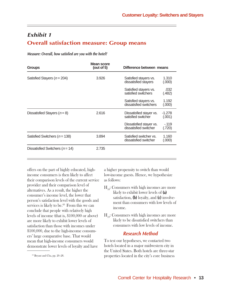## **Exhibit 1 Overall satisfaction measure: Group means**

**Measure: Overall, how satisfied are you with the hotel?**

| <b>Groups</b>                       | Mean score<br>(out of $5$ )<br>3.926 | Difference between means                         |                    |
|-------------------------------------|--------------------------------------|--------------------------------------------------|--------------------|
| Satisfied Stayers ( $n = 204$ )     |                                      | Satisfied stayers vs.<br>dissatisfied stayers    | 1.310<br>(0.000)   |
|                                     |                                      | Satisfied stayers vs.<br>satisfied switchers     | .032<br>(.482)     |
|                                     |                                      | Satisfied stayers vs.<br>dissatisfied switchers  | 1.192<br>(000)     |
| Dissatisfied Stayers $(n = 8)$      | 2.616                                | Dissatisfied stayer vs.<br>satisfied switcher    | $-1.278$<br>(.001) |
|                                     |                                      | Dissatisfied stayer vs.<br>dissatisfied switcher | $-119$<br>(.720)   |
| Satisfied Switchers ( $n = 138$ )   | 3.894                                | Satisfied switcher vs.<br>dissatisfied switcher  | 1.160<br>(0.000)   |
| Dissatisfied Switchers ( $n = 14$ ) | 2.735                                |                                                  |                    |

offers on the part of highly educated, highincome consumers is then likely to affect their comparison levels of the current service provider and their comparison level of alternatives. As a result, the higher the consumer's income level, the lower that person's satisfaction level with the goods and services is likely to be.<sup>60</sup> From this we can conclude that people with relatively high levels of income (that is, \$100,000 or above) are more likely to exhibit lower levels of satisfaction than those with incomes under \$100,000, due to the high-income consumers' large comparative base. That would mean that high-income consumers would demonstrate lower levels of loyalty and have

a higher propensity to switch than would low-income guests. Hence, we hypothesize as follows:

- $H_{10}$ : Consumers with high incomes are more likely to exhibit lower levels of (a) satisfaction,  $(b)$  loyalty, and  $(c)$  involvement than consumers with low levels of income.
- $H_{10}$ : Consumers with high incomes are more likely to be dissatisfied switchers than consumers with low levels of income.

## **Research Method**

To test our hypotheses, we contacted two hotels located in a major midwestern city in the United States. Both hotels are three-star properties located in the city's core business

<sup>60</sup> Bryant and Cha, pp. 20–28.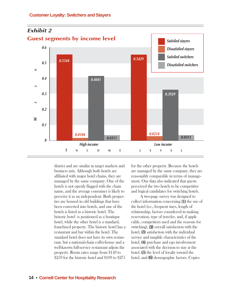

district and are similar in target markets and business mix. Although both hotels are affiliated with major hotel chains, they are managed by the same company. One of the hotels is not openly flagged with the chain name, and the average consumer is likely to perceive it as an independent. Both properties are housed in old buildings that have been converted into hotels, and one of the hotels is listed as a historic hotel. The historic hotel is positioned as a boutique hotel, while the other hotel is a standard, franchised property. The historic hotel has a restaurant and bar within the hotel. The standard hotel does not have its own restaurant, but a national-chain coffeehouse and a well-known full-service restaurant adjoin the property. Room rates range from \$149 to \$259 for the historic hotel and \$109 to \$275

for the other property. Because the hotels are managed by the same company, they are reasonably comparable in terms of management. Our data also indicated that guests perceived the two hotels to be competitive and logical candidates for switching hotels.

A two-page survey was designed to collect information concerning (1) the use of the hotel (i.e., frequent stays, length of relationship, factors considered in making reservation, type of traveler, and, if applicable, competitors used and the reasons for switching),  $(2)$  overall satisfaction with the hotel, **(3)** satisfaction with the individual service and tangible characteristics of the hotel, (4) purchase and ego involvement associated with the decision to stay at the hotel,  $(5)$  the level of loyalty toward the hotel, and **(6)** demographic factors. Copies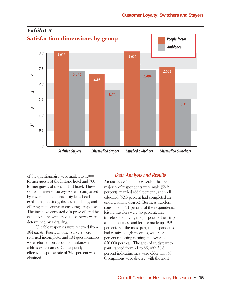

of the questionnaire were mailed to 1,000 former guests of the historic hotel and 700 former guests of the standard hotel. These self-administered surveys were accompanied by cover letters on university letterhead explaining the study, disclosing liability, and offering an incentive to encourage response. The incentive consisted of a prize offered by each hotel; the winners of these prizes were determined by a drawing.

Useable responses were received from 364 guests. Fourteen other surveys were returned incomplete, and 134 questionnaires were returned on account of unknown addresses or names. Consequently, an effective response rate of 24.1 percent was obtained.

## **Data Analysis and Results**

An analysis of the data revealed that the majority of respondents were male (58.2 percent), married (66.9 percent), and well educated (52.8 percent had completed an undergraduate degree). Business travelers constituted 34.1 percent of the respondents, leisure travelers were 46 percent, and travelers identifying the purpose of their trip as both business and leisure made up 19.9 percent. For the most part, the respondents had relatively high incomes, with 89.8 percent reporting earnings in excess of \$50,000 per year. The ages of study participants ranged from 21 to 86, with 50.8 percent indicating they were older than 45. Occupations were diverse, with the most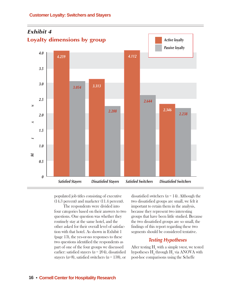

populated job titles consisting of executive (14.3 percent) and marketer (11.4 percent).

The respondents were divided into four categories based on their answers to two questions. One question was whether they routinely stay at the same hotel, and the other asked for their overall level of satisfaction with that hotel. As shown in Exhibit 1 (page 13), the yes-or-no responses to these two questions identified the respondents as part of one of the four groups we discussed earlier: satisfied stayers ( $n = 204$ ), dissatisfied stayers ( $n=8$ ), satisfied switchers ( $n=138$ ), or

dissatisfied switchers  $(n = 14)$ . Although the two dissatisfied groups are small, we felt it important to retain them in the analysis, because they represent two interesting groups that have been little studied. Because the two dissatisfied groups are so small, the findings of this report regarding these two segments should be considered tentative.

## **Testing Hypotheses**

After testing  $\mathrm{H_{1}}$  with a simple t-test, we tested hypotheses  $\mathrm{H}_{_2}$  through  $\mathrm{H}_{_7}$  via ANOVA with post-hoc comparisons using the Scheffe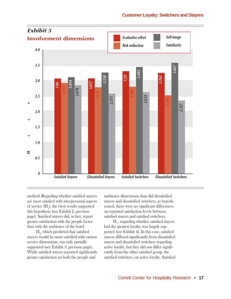

method.Regarding whether satisfied stayers are most satisfied with interpersonal aspects of service  $(H_1)$ , the t-test results supported this hypothesis (see Exhibit 2, previous page). Satisfied stayers did, in fact, report greater satisfaction with the people factor than with the ambience of the hotel.

 $H<sub>2</sub>$ , which predicted that satisfied stayers would be more satisfied with various service dimensions, was only partially supported (see Exhibit 3, previous page). While satisfied stayers reported significantly greater satisfaction on both the people and

ambience dimensions than did dissatisfied stayers and dissatisfied switchers, as hypothesized, there were no significant differences on reported satisfaction levels between satisfied stayers and satisfied switchers.

 $H<sub>3</sub>$ , regarding whether satisfied stayers had the greatest loyalty, was largely supported (see Exhibit 4). In this case, satisfied stayers differed significantly from dissatisfied stayers and dissatisfied switchers regarding active loyalty, but they did not differ significantly from the other satisfied group, the satisfied switchers, on active loyalty. Satisfied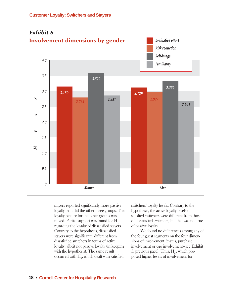

stayers reported significantly more passive loyalty than did the other three groups. The loyalty picture for the other groups was mixed. Partial support was found for  $\mathrm{H}_4^{}$ regarding the loyalty of dissatisfied stayers. Contrary to the hypothesis, dissatisfied stayers were significantly different from dissatisfied switchers in terms of active loyalty, albeit not passive loyalty (in keeping with the hypothesis). The same result occurred with  $\mathrm{H}_{_{\mathrm{5}}},$  which dealt with satisfied

switchers' loyalty levels. Contrary to the hypothesis, the active-loyalty levels of satisfied switchers were different from those of dissatisfied switchers, but that was not true of passive loyalty.

We found no differences among any of the four guest segments on the four dimensions of involvement (that is, purchase involvement or ego involvement—see Exhibit 5, previous page). Thus,  $H_6$ , which proposed higher levels of involvement for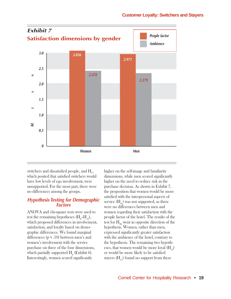

switchers and dissatisfied people, and  $H_{7}$ , which posited that satisfied switchers would have low levels of ego involvement, were unsupported. For the most part, there were no differences among the groups.

## **Hypothesis Testing for Demographic Factors**

ANOVA and chi-square tests were used to test the remaining hypotheses  $(H_s-H_{19}),$ which proposed differences in involvement, satisfaction, and loyalty based on demographic differences. We found marginal differences ( $p \le 10$ ) between men's and women's involvement with the service purchase on three of the four dimensions, which partially supported  $H_8$  (Exhibit 6). Interestingly, women scored significantly

higher on the self-image and familiarity dimensions, while men scored significantly higher on the need to reduce risk in the purchase decision. As shown in Exhibit 7, the proposition that women would be more satisfied with the interpersonal aspects of service  $(H_{\alpha})$  was not supported, as there were no differences between men and women regarding their satisfaction with the people factor of the hotel. The results of the test for  $H_{9b}$  went in opposite direction of the hypothesis. Women, rather than men, expressed significantly greater satisfaction with the ambience of the hotel, contrary to the hypothesis. The remaining two hypotheses, that women would be more loyal  $(H_1)$ or would be more likely to be satisfied stayers  $(H_{11})$  found no support from these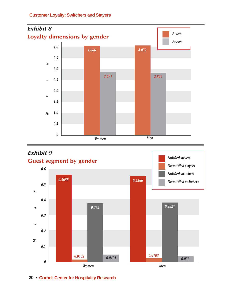





**20** • **Cornell Center for Hospitality Research**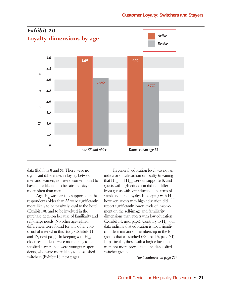

data (Exhibits 8 and 9). There were no significant differences in loyalty between men and women, nor were women found to have a predilection to be satisfied stayers more often than men.

**Age.**  $H_{12}$  was partially supported in that respondents older than 55 were significantly more likely to be passively loyal to the hotel (Éxhibit 10), and to be involved in the purchase decision because of familiarity and self-image needs. No other age-related differences were found for any other construct of interest in this study (Exhibits 11 and 12, next page). In keeping with  $H_{13}$ , older respondents were more likely to be satisfied stayers than were younger respondents, who were more likely to be satisfied switchers (Exhibit 13, next page).

In general, education level was not an indicator of satisfaction or loyalty (meaning that  $H_{14a}$  and  $H_{14b}$  were unsupported), and guests with high education did not differ from guests with low education in terms of satisfaction and loyalty. In keeping with  $H_{14c}$ , however, guests with high education did report significantly lower levels of involvement on the self-image and familiarity dimensions than guests with low education (Exhibit 14, next page). Contrary to  $H_{15}$ , our data indicate that education is not a significant determinant of membership in the four groups that we studied (Exhibit 15, page 24). In particular, those with a high education were not more prevalent in the dissatisfiedswitcher group.

**(Text continues on page 24)**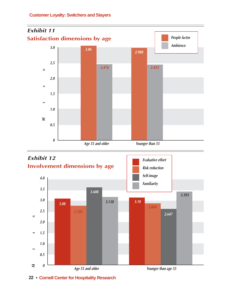



**22** • **Cornell Center for Hospitality Research**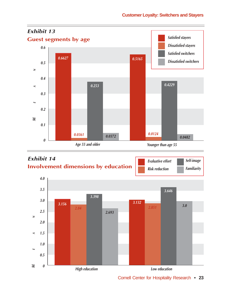



Cornell Center for Hospitality Research **• 23**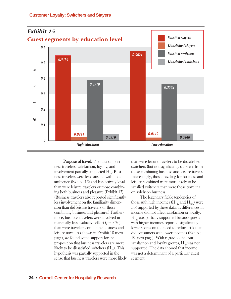

Purpose of travel. The data on business travelers' satisfaction, loyalty, and involvement partially supported  $H_{16}$ . Business travelers were less satisfied with hotel ambience (Exhibit 16) and less actively loyal than were leisure travelers or those combining both business and pleasure (Exhibit 17). (Business travelers also reported significantly less involvement on the familiarity dimension than did leisure travelers or those combining business and pleasure.) Furthermore, business travelers were involved in marginally less evaluative effort  $(p = .076)$ than were travelers combining business and leisure travel. As shown in Exhibit 18 (next page), we found some support for the proposition that business travelers are more likely to be dissatisfied switchers  $(H_{17})$ . This hypothesis was partially supported in the sense that business travelers were more likely

than were leisure travelers to be dissatisfied switchers (but not significantly different from those combining business and leisure travel). Interestingly, those traveling for business and leisure combined were more likely to be satisfied switchers than were those traveling on solely on business.

The legendary fickle tendencies of those with high incomes  $(H_{18a} \text{ and } H_{18b})$  were not supported by these data, as differences in income did not affect satisfaction or loyalty.  $H_{18c}$  was partially supported because guests with higher incomes reported significantly lower scores on the need to reduce risk than did consumers with lower incomes (Exhibit 19, next page). With regard to the four satisfaction and loyalty groups,  $H_{19}$  was not supported. The data showed that income was not a determinant of a particular guest segment.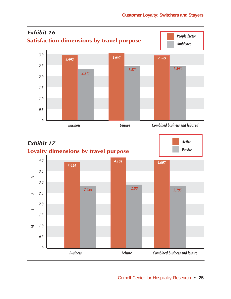

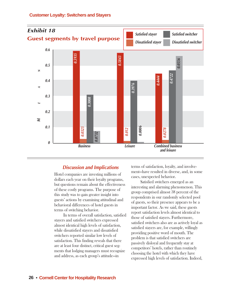

## **Discussion and Implications**

Hotel companies are investing millions of dollars each year on their loyalty programs, but questions remain about the effectiveness of these costly programs. The purpose of this study was to gain greater insight into guests' actions by examining attitudinal and behavioral differences of hotel guests in terms of switching behavior.

In terms of overall satisfaction, satisfied stayers and satisfied switchers expressed almost identical high levels of satisfaction, while dissatisfied stayers and dissatisfied switchers reported similar low levels of satisfaction. This finding reveals that there are at least four distinct, critical guest segments that lodging managers must recognize and address, as each group's attitude—in

terms of satisfaction, loyalty, and involvement—have resulted in diverse, and, in some cases, unexpected behavior.

Satisfied switchers emerged as an interesting and alarming phenomenon. This group comprised almost 38 percent of the respondents in our randomly selected pool of guests, so their presence appears to be a important factor. As we said, these guests report satisfaction levels almost identical to those of satisfied stayers. Furthermore, satisfied switchers also are as actively loyal as satisfied stayers are, for example, willingly providing positive word of mouth. The problem is that satisfied switchers are passively disloyal and frequently stay at competitors' hotels, rather than routinely choosing the hotel with which they have expressed high levels of satisfaction. Indeed,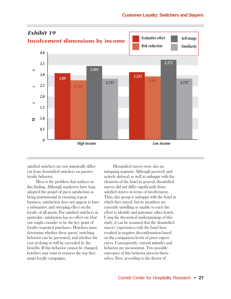

satisfied switchers are not statistically different from dissatisfied switchers on passiveloyalty behavior.

Here is the problem that surfaces in this finding. Although marketers have long adopted the gospel of guest satisfaction as being instrumental in ensuring repeat business, satisfaction does not appear to have a substantive and sweeping effect on the loyalty of all guests. For satisfied switchers in particular, satisfaction has no effect on what one might consider to be the key point of loyalty—repeated purchases. Hoteliers must determine whether these guests' switching behavior can be prevented, and whether the cost of doing so will be exceeded by the benefits. If this behavior cannot be changed, hoteliers may want to reassess the way they target loyalty campaigns.

Dissatisfied stayers were also an intriguing segment. Although passively and actively disloyal, as well as unhappy with the elements of the hotel in general, dissatisfied stayers did not differ significantly from satisfied stayers in terms of involvement. Thus, this group is unhappy with the hotel at which they stayed, but its members are currently unwilling or unable to exert the effort to identify and patronize other hotels. Using the theoretical underpinnings of this study, it can be assumed that the dissatisfied stayers' experiences with the hotel have resulted in negative disconfirmation based on the comparison levels of prior experiences. Consequently, current attitudes and behavior are inconsistent. Two possible outcomes of this behavior present themselves. First, according to the theory of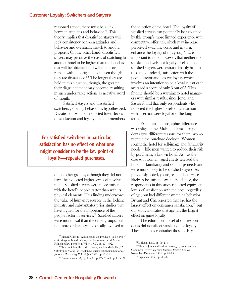reasoned action, there must be a link between attitudes and behavior.<sup>61</sup> This theory implies that dissatisfied stayers will seek consistency between attitudes and behavior and eventually switch to another property. On the other hand, dissatisfied stayers may perceive the costs of switching to another hotel to be higher than the benefits that will be obtained and will therefore remain with the original hotel even though they are dissatisfied.62 The longer they are held in this situation, though, the greater their disgruntlement may become, resulting in such undesirable actions as negative word of mouth.

Satisfied stayers and dissatisfied switchers generally behaved as hypothesized. Dissatisfied switchers reported lower levels of satisfaction and loyalty than did members

**For satisfied switchers in particular, satisfaction has no effect on what one might consider to be the key point of loyalty—repeated purchases.**

> of the other groups, although they did not have the expected higher levels of involvement. Satisfied stayers were more satisfied with the hotel's people factor than with its physical elements. This finding underscores the value of human resources in the lodging industry and substantiates prior studies that have argued for the importance of the people factor in services.63 Satisfied stayers were more loyal than the other groups, but not more or less psychologically involved in

the selection of the hotel. The loyalty of satisfied stayers can potentially be explained by this group's more limited experience with competitive offerings, which may increase perceived switching costs, and in turn, enhance the loyalty of this group.64 It is important to note, however, that neither the satisfaction levels nor loyalty levels of the satisfied stayers were extraordinarily high in this study. Indeed, satisfaction with the people factor and passive loyalty (which involves an intention to be a loyal guest) each averaged a score of only 3 out of 5. This finding should be a warning to hotel managers with similar results, since Jones and Sasser found that only respondents who reported the highest levels of satisfaction with a service were loyal over the long term.<sup>65</sup>

Examining demographic differences was enlightening. Male and female respondents gave different reasons for their involvement in the purchase decision. Women sought the hotel for self-image and familiarity needs, while men wanted to reduce their risk by purchasing a known hotel. As was the case with women, aged guests selected the hotel for familiarity and self-image needs and were more likely to be satisfied stayers. As previously noted, young respondents were likely to be satisfied switchers. Hence, the respondents in this study reported equivalent levels of satisfaction with the hotel regardless of age, but had different switching behavior. Bryant and Cha reported that age has the largest effect on consumer satisfaction, $66$  but our study indicates that age has the largest effect on guest loyalty.

The educational level of our respondents did not affect satisfaction or loyalty. These findings contradict those of Bryant

<sup>61</sup> Martin Fishbein, "Attitudes and the Prediction of Behavior," in Readings in Attitude Theory and Measurement, ed. Martin Fishbein (New York: John Wiley, 1967), pp. 477–492.

<sup>62</sup> Terence Oliva, Richard L. Oliver, and Ian MacMillan, "A Catastrophe Model for Developing Service-satisfaction Strategies," Journal of Marketing, Vol. 56, July 1992, pp. 83–95.

 $63$  Parasuraman *et al.*, pp. 41-50; pp. 12-37; and pp. 111-124.

<sup>64</sup> Dick and Basu, pp. 99–113.

<sup>&</sup>lt;sup>65</sup> Thomas Jones and Earl W. Sasser, Jr., "Why Satisfied Customers Defect," Harvard Business Review, Vol. 73, November–December 1995, pp. 88–99.

<sup>66</sup> Bryant and Cha, pp. 20–28.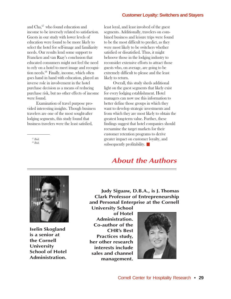and Cha,<sup>67</sup> who found education and income to be inversely related to satisfaction. Guests in our study with lower levels of education were found to be more likely to select the hotel for self-image and familiarity needs. Our results lend some support to Francken and van Raay's conclusion that educated consumers might not feel the need to rely on a hotel to meet image and recognition needs.<sup>68</sup> Finally, income, which often goes hand in hand with education, played an inverse role in involvement in the hotel purchase decision as a means of reducing purchase risk, but no other effects of income were found.

Examination of travel purpose provided interesting insights. Though business travelers are one of the most sought-after lodging segments, this study found that business travelers were the least satisfied,

<sup>67</sup> Ibid.

<sup>68</sup> Ibid.

least loyal, and least involved of the guest segments. Additionally, travelers on combined business and leisure trips were found to be the most difficult to predict, as they were most likely to be switchers whether satisfied or dissatisfied. Thus, it might behoove those in the lodging industry to reconsider extensive efforts to attract those guests who, on average, are going to be extremely difficult to please and the least likely to return.

Overall, this study sheds additional light on the guest segments that likely exist for every lodging establishment. Hotel managers can now use this information to better define those groups in which they want to develop strategic investments and from which they are most likely to obtain the greatest long-term value. Further, these findings suggest that hotel companies should reexamine the target markets for their customer retention programs to derive greater impact on customer loyalty, and subsequently profitability.  $\blacksquare$ 

## **About the Authors**



**Iselin Skogland is a senior at the Cornell University School of Hotel Administration.**

**Judy Siguaw, D.B.A., is J. Thomas Clark Professor of Entrepreneurship and Personal Enterprise at the Cornell**

**University School of Hotel Administration. Co-author of the CHR's Best Practices study, her other research interests include sales and channel management.**

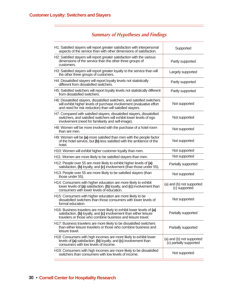| H1: Satisfied stayers will report greater satisfaction with interpersonal<br>aspects of the service than with other dimensions of satisfaction.                                                                 | Supported                                            |  |
|-----------------------------------------------------------------------------------------------------------------------------------------------------------------------------------------------------------------|------------------------------------------------------|--|
| H2: Satisfied stayers will report greater satisfaction with the various<br>dimensions of the service than the other three groups of<br>customers.                                                               | Partly supported                                     |  |
| H3: Satisfied stayers will report greater loyalty to the service than will<br>the other three groups of customers.                                                                                              | Largely supported                                    |  |
| H4: Dissatisfied stayers will report loyalty levels not statistically<br>different from dissatisfied switchers.                                                                                                 | Partly supported                                     |  |
| H5: Satisfied switchers will report loyalty levels not statistically different<br>from dissatisfied switchers.                                                                                                  | Partly supported                                     |  |
| H6: Dissatisfied stayers, dissatisfied switchers, and satisfied switchers<br>will exhibit higher levels of purchase involvement (evaluative effort<br>and need for risk reduction) than will satisfied stayers. | Not supported                                        |  |
| H7: Compared with satisfied stayers, dissatisfied stayers, dissatisfied<br>switchers, and satisfied switchers will exhibit lower levels of ego<br>involvement (need for familiarity and self-image).            | Not supported                                        |  |
| H8: Women will be more involved with the purchase of a hotel room<br>than are men.                                                                                                                              | Not supported                                        |  |
| H9: Women will be (a) more satisfied than men with the people factor<br>of the hotel service, but (b) less satisfied with the ambience of the<br>hotel.                                                         | Not supported                                        |  |
| H10: Women will exhibit higher customer loyalty than men.                                                                                                                                                       | Not supported                                        |  |
| H11: Women are more likely to be satisfied stayers than men.                                                                                                                                                    | Not supported                                        |  |
| H12: People over 55 are more likely to exhibit higher levels of (a)<br>satisfaction, (b) loyalty, and (c) involvement (than those under 55).                                                                    | Partially supported                                  |  |
| H13: People over 55 are more likely to be satisfied stayers (than<br>those under 55).                                                                                                                           | Not supported                                        |  |
| H14: Consumers with higher education are more likely to exhibit<br>lower levels of (a) satisfaction, (b) loyalty, and (c) involvement than<br>consumers with lower levels of education.                         | (a) and (b) not supported<br>(c) supported           |  |
| H15: Consumers with higher education are more likely to be<br>dissatisfied switchers than those consumers with lower levels of<br>formal education.                                                             | Not supported                                        |  |
| H16: Business travelers are more likely to exhibit lower levels of (a)<br>satisfaction, (b) loyalty, and (c) involvement than either leisure<br>travelers or those who combine business and leisure travel.     | Partially supported                                  |  |
| H17: Business travelers are more likely to be dissatisfied switchers<br>than either leisure travelers or those who combine business and<br>leisure travel.                                                      | Partially supported                                  |  |
| H18: Consumers with high incomes are more likely to exhibit lower<br>levels of (a) satisfaction, (b) loyalty, and (c) involvement than<br>consumers with low levels of income.                                  | (a) and (b) not supported<br>(c) partially supported |  |
| H19: Consumers with high incomes are more likely to be dissatisfied<br>switchers than consumers with low levels of income.                                                                                      | Not supported                                        |  |

## **Summary of Hypotheses and Findings**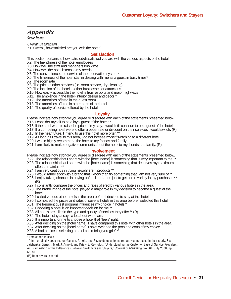## **Appendix**

**Scale items**

Overall Satisfaction

X1. Overall, how satisfied are you with the hotel?

#### **Satisfaction**

This section pertains to how satisfied/dissatisfied you are with the various aspects of the hotel.

X2. The friendliness of the hotel employees

X3. How well the staff and managers know me

X4. How well the hotel listens to my needs

X5. The convenience and service of the reservation system\*

X6. The timeliness of the hotel staff in dealing with me as a guest in busy times\*

X7. The room rate

X8. The price of other services (i.e. room-service, dry-cleaning)

X9. The location of the hotel to other businesses or attractions

X10. How easily accessible the hotel is from airports and major highways

X11. The ambience in the hotel (interior design and decor)\*

X12. The amenities offered in the guest room

X13. The amenities offered in other parts of the hotel

X14. The quality of service offered by the hotel

#### **Loyalty**

Please indicate how strongly you agree or disagree with each of the statements presented below. X15. I consider myself to be a loyal guest of the hotel.\*\*

X16. If the hotel were to raise the price of my stay, I would still continue to be a guest of the hotel.

X17. If a competing hotel were to offer a better rate or discount on their services I would switch. (R)

X18. In the near future, I intend to use this hotel more often.<sup>\*</sup>

X19. As long as I travel to this area, I do not foresee myself switching to a different hotel.

X20. I would highly recommend the hotel to my friends and family.

X21. I am likely to make negative comments about the hotel to my friends and family. (R)

#### **Involvement**

Please indicate how strongly you agree or disagree with each of the statements presented below.

- X22. The relationship that I share with the [hotel name] is something that is very important to me.\* X23. The relationship that I share with the [hotel name] is something that deserves my maximum
- effort to maintain.\*\*
- X24. I am very cautious in trying new/different products.\*\*
- X25. I would rather stick with a brand that I know than try something that I am not very sure of.<sup>\*\*</sup>
- X26. I enjoy taking chances in buying unfamiliar brands just to get some variety in my purchases.\*\* (R)
- X27. I constantly compare the prices and rates offered by various hotels in the area.
- X28. The brand image of the hotel played a major role in my decision to become a guest at the hotel.
- X29. I called various other hotels in the area before I decided to stay at this hotel.
- X30. I compared the prices and rates of several hotels in this area before I selected this hotel.
- X31. The frequent guest program influences my choice in hotels.\*
- X32. Choosing a hotel is an important decision for me.\*\*
- X33. All hotels are alike in the type and quality of services they offer.\*\* (R)
- X34. The hotel I stay at says a lot about who I am.

X35. It is important for me to choose a hotel that "feels" right.

- X36. After deciding on the [hotel name], I have compared this hotel with other hotels in the area.
- X37. After deciding on the [hotel name], I have weighed the pros and cons of my choice.

X38. A bad choice in selecting a hotel could bring you grief.\*

\*Item added to scale

\*\*Item originally appeared on Ganesh, Arnold, and Reynolds questionnaire, but was not used in their study. See: Jaishankar Ganesh, Mark J. Arnold, and Kristy E. Reynolds, "Understanding the Customer Base of Service Providers: An Examination of the Differences Between Switchers and Stayers," Journal of Marketing, Vol. 64, July 2000, pp. 65–87.

(R) Item reverse scored